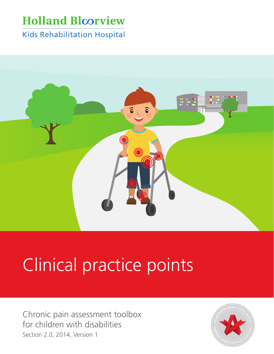# **Holland Bloorview**

**Kids Rehabilitation Hospital** 



# Clinical practice points

Chronic pain assessment toolbox for children with disabilities Section 2.0, 2014, Version 1

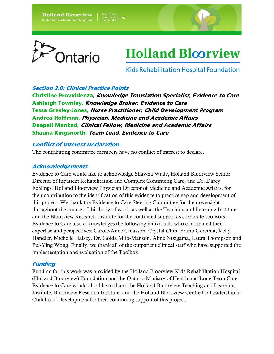**Holland Bloorview Kids Rehabilitation Hospital** 



# **Holland Bloorview**

**Kids Rehabilitation Hospital Foundation** 

#### Section 2.0: Clinical Practice Points

Christine Provvidenza, Knowledge Translation Specialist, Evidence to Care Ashleigh Townley, Knowledge Broker, Evidence to Care Tessa Gresley-Jones, Nurse Practitioner, Child Development Program Andrea Hoffman, Physician, Medicine and Academic Affairs Deepali Mankad, Clinical Fellow, Medicine and Academic Affairs Shauna Kingsnorth, Team Lead, Evidence to Care

#### Conflict of Interest Declaration

The contributing committee members have no conflict of interest to declare.

#### Acknowledgements

Evidence to Care would like to acknowledge Shawna Wade, Holland Bloorview Senior Director of Inpatient Rehabilitation and Complex Continuing Care, and Dr. Darcy Fehlings, Holland Bloorview Physician Director of Medicine and Academic Affairs, for their contribution to the identification of this evidence to practice gap and development of this project. We thank the Evidence to Care Steering Committee for their oversight throughout the course of this body of work, as well as the Teaching and Learning Institute and the Bloorview Research Institute for the continued support as corporate sponsors. Evidence to Care also acknowledges the following individuals who contributed their expertise and perspectives: Carole-Anne Chiasson, Crystal Chin, Bruno Geremia, Kelly Handler, Michelle Halsey, Dr. Golda Milo-Manson, Aline Nizigama, Laura Thompson and Pui-Ying Wong. Finally, we thank all of the outpatient clinical staff who have supported the implementation and evaluation of the Toolbox.

#### Funding

Funding for this work was provided by the Holland Bloorview Kids Rehabilitation Hospital (Holland Bloorview) Foundation and the Ontario Ministry of Health and Long-Term Care. Evidence to Care would also like to thank the Holland Bloorview Teaching and Learning Institute, Bloorview Research Institute, and the Holland Bloorview Centre for Leadership in Childhood Development for their continuing support of this project.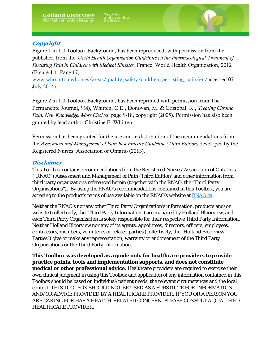#### **Copyright**

Figure 1 in 1.0 Toolbox Background, has been reproduced, with permission from the publisher, from the *World Health Organization Guidelines on the Pharmacological Treatment of Persisting Pain in Children with Medical Illnesses*. France, World Health Organization, 2012 (Figure 1.1, Page 17,

[www.who.int/medicines/areas/quality\\_safety/children\\_persisting\\_pain/en/a](http://www.who.int/medicines/areas/quality_safety/children_persisting_pain/en/)ccessed 07 July 2014).

Figure 2 in 1.0 Toolbox Background, has been reprinted with permission from The Permanente Journal, 9(4), Whitten, C.E., Donovan, M. & Cristobal, K., *Treating Chronic Pain: New Knowledge, More Choices*, page 9-18, copyright (2005). Permission has also been granted by lead author Christine E. Whitten.

Permission has been granted for the use and re-distribution of the recommendations from the *Assessment and Management of Pain Best Practice Guideline (Third Edition)* developed by the Registered Nurses' Association of Ontario (2013).

#### **Disclaimer**

This Toolbox contains recommendations from the Registered Nurses' Association of Ontario's ("RNAO") *Assessment and Management of Pain (Third Edition1* and other information from third party organizations referenced herein (together with the RNAO, the "Third Party Organizations"). By using the RNAO's recommendations contained in this Toolbox, you are agreeing to the product's terms of use available on the RNAO's website a[t RNAO.ca.](http://rnao.ca/)

Neither the RNAO's nor any other Third Party Organization's information, products and/or website (collectively, the "Third Party Information") are managed by Holland Bloorview, and each Third Party Organization is solely responsible for their respective Third Party Information. Neither Holland Bloorview nor any of its agents, appointees, directors, officers, employees, contractors, members, volunteers or related parties (collectively, the "Holland Bloorview Parties") give or make any representation, warranty or endorsement of the Third Party Organizations or the Third Party Information.

**This Toolbox was developed as a guide only for healthcare providers to provide practice points, tools and implementation supports, and does not constitute medical or other professional advice.** Healthcare providers are required to exercise their own clinical judgment in using this Toolbox and application of any information contained in this Toolbox should be based on individual/patient needs, the relevant circumstances and the local context. THIS TOOLBOX SHOULD NOT BE USED AS A SUBSTIUTE FOR INFORMATION AND/OR ADVICE PROVIDED BY A HEALTHCARE PROVIDER. IF YOU OR A PERSON YOU ARE CARING FOR HAS A HEALTH-RELATED CONCERN, PLEASE CONSULT A QUALIFIED HEALTHCARE PROVIDER.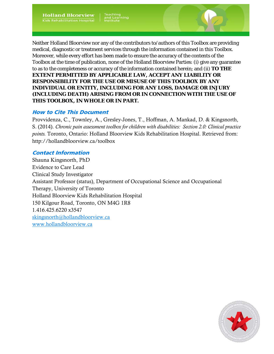Neither Holland Bloorview nor any of the contributors to/authors of this Toolbox are providing medical, diagnostic or treatment services through the information contained in this Toolbox. Moreover, while every effort has been made to ensure the accuracy of the contents of the Toolbox at the time of publication, none of the Holland Bloorview Parties: (i) give any guarantee to as to the completeness or accuracy of the information contained herein; and (ii) **TO THE EXTENT PERMITTED BY APPLICABLE LAW, ACCEPT ANY LIABILITY OR RESPONSIBILITY FOR THE USE OR MISUSE OF THIS TOOLBOX BY ANY INDIVIDUAL OR ENTITY, INCLUDING FOR ANY LOSS, DAMAGE OR INJURY (INCLUDING DEATH) ARISING FROM OR IN CONNECTION WITH THE USE OF THIS TOOLBOX, IN WHOLE OR IN PART.** 

#### How to Cite This Document

Provvidenza, C., Townley, A., Gresley-Jones, T., Hoffman, A. Mankad, D. & Kingsnorth, S. (2014). *Chronic pain assessment toolbox for children with disabilities: Section 2.0: Clinical practice points.* Toronto, Ontario: Holland Bloorview Kids Rehabilitation Hospital. Retrieved from: http://hollandbloorview.ca/toolbox

#### Contact Information

Shauna Kingsnorth, PhD Evidence to Care Lead Clinical Study Investigator Assistant Professor (status), Department of Occupational Science and Occupational Therapy, University of Toronto Holland Bloorview Kids Rehabilitation Hospital 150 Kilgour Road, Toronto, ON M4G 1R8 1.416.425.6220 x3547 [skingsnorth@hollandbloorview.ca](mailto:skingsnorth@hollandbloorview.ca) [www.hollandbloorview.ca](http://hollandbloorview.ca/Home)

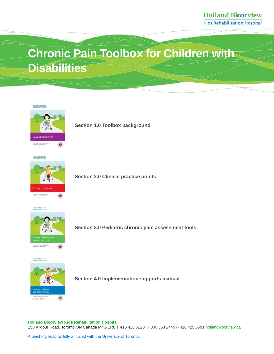# **Chronic Pain Toolbox for Children with Disabilities**





**Section 1.0 Toolbox background**



**Section 2.0 Clinical practice points**

**Holland Bloorvie** 



**Section 3.0 Pediatric chronic pain assessment tools**



**Section 4.0 Implementation supports manual** 

**Holland Bloorview Kids Rehabilitation Hospital** 150 Kilgour Road, Toronto ON Canada M4G 1R8 **T** 416 425 6220 **T** 800 363 2440 **F** 416 425 659[1 hollandbloorview.ca](https://www.hollandbloorview.ca/)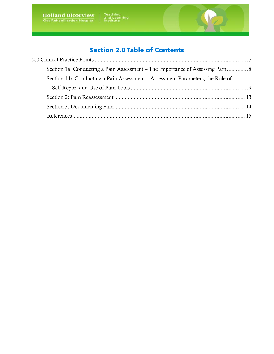# Section 2.0 Table of Contents

| Section 1a: Conducting a Pain Assessment – The Importance of Assessing Pain 8  |  |
|--------------------------------------------------------------------------------|--|
| Section 1 b: Conducting a Pain Assessment – Assessment Parameters, the Role of |  |
|                                                                                |  |
|                                                                                |  |
|                                                                                |  |
|                                                                                |  |
|                                                                                |  |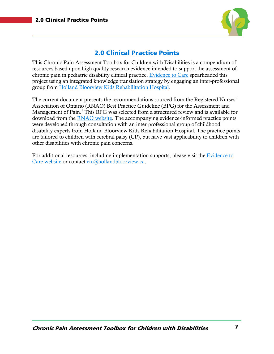

# 2.0 Clinical Practice Points

<span id="page-6-0"></span>This Chronic Pain Assessment Toolbox for Children with Disabilities is a compendium of resources based upon high quality research evidence intended to support the assessment of chronic pain in pediatric disability clinical practice. [Evidence to Care](http://hollandbloorview.ca/TeachingLearning/EvidencetoCare) spearheaded this project using an integrated knowledge translation strategy by engaging an inter-professional group from [Holland Bloorview Kids Rehabilitation Hospital.](http://hollandbloorview.ca/Home)

The current document presents the recommendations sourced from the Registered Nurses' Association of Ontario (RNAO) Best Practice Guideline (BPG) for the Assessment and Management of Pain. [1](#page-15-0) This BPG was selected from a structured review and is available for download from the [RNAO website.](http://rnao.ca/bpg/guidelines/assessment-and-management-pain) The accompanying evidence-informed practice points were developed through consultation with an inter-professional group of childhood disability experts from Holland Bloorview Kids Rehabilitation Hospital. The practice points are tailored to children with cerebral palsy (CP), but have vast applicability to children with other disabilities with chronic pain concerns.

For additional resources, including implementation supports, please visit the [Evidence to](http://www.hollandbloorview.ca/toolbox)  [Care website](http://www.hollandbloorview.ca/toolbox) or contact [etc@hollandbloorview.ca.](mailto:etc@hollandbloorview.ca)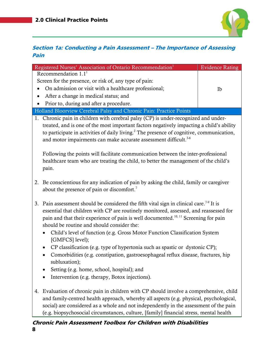

# <span id="page-7-0"></span>Section 1a: Conducting a Pain Assessment – The Importance of Assessing Pain

| Registered Nurses' Association of Ontario Recommendation <sup>1</sup>                                  | <b>Evidence Rating</b> |  |
|--------------------------------------------------------------------------------------------------------|------------------------|--|
| Recommendation $1.11$                                                                                  |                        |  |
| Screen for the presence, or risk of, any type of pain:                                                 |                        |  |
| On admission or visit with a healthcare professional;<br>$\bullet$                                     | Ib                     |  |
| After a change in medical status; and<br>٠                                                             |                        |  |
| Prior to, during and after a procedure.                                                                |                        |  |
| Holland Bloorview Cerebral Palsy and Chronic Pain: Practice Points                                     |                        |  |
| 1. Chronic pain in children with cerebral palsy (CP) is under-recognized and under-                    |                        |  |
| treated, and is one of the most important factors negatively impacting a child's ability               |                        |  |
| to participate in activities of daily living. <sup>2</sup> The presence of cognitive, communication,   |                        |  |
| and motor impairments can make accurate assessment difficult. <sup>3-6</sup>                           |                        |  |
|                                                                                                        |                        |  |
| Following the points will facilitate communication between the inter-professional                      |                        |  |
| healthcare team who are treating the child, to better the management of the child's                    |                        |  |
| pain.                                                                                                  |                        |  |
| Be conscientious for any indication of pain by asking the child, family or caregiver<br>2.             |                        |  |
| about the presence of pain or discomfort. <sup>7</sup>                                                 |                        |  |
|                                                                                                        |                        |  |
| Pain assessment should be considered the fifth vital sign in clinical care. <sup>7.9</sup> It is<br>3. |                        |  |
| essential that children with CP are routinely monitored, assessed, and reassessed for                  |                        |  |
| pain and that their experience of pain is well documented. <sup>10, 11</sup> Screening for pain        |                        |  |
| should be routine and should consider the:                                                             |                        |  |
| Child's level of function (e.g. Gross Motor Function Classification System<br>$\bullet$                |                        |  |
| [GMFCS] level);                                                                                        |                        |  |
| CP classification (e.g. type of hypertonia such as spastic or dystonic CP);                            |                        |  |
| Comorbidities (e.g. constipation, gastroesophageal reflux disease, fractures, hip<br>$\bullet$         |                        |  |
| subluxation);                                                                                          |                        |  |
| Setting (e.g. home, school, hospital); and                                                             |                        |  |
| Intervention (e.g. therapy, Botox injections).                                                         |                        |  |
|                                                                                                        |                        |  |
| Evaluation of chronic pain in children with CP should involve a comprehensive, child<br>4.             |                        |  |
| and family-centred health approach, whereby all aspects (e.g. physical, psychological,                 |                        |  |
| social) are considered as a whole and not independently in the assessment of the pain                  |                        |  |

(e.g. biopsychosocial circumstances, culture, [family] financial stress, mental health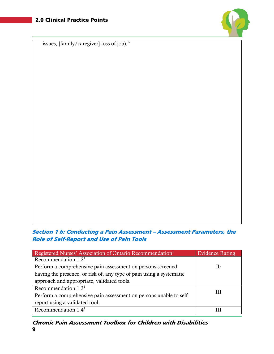

issues, [family/caregiver] loss of job).<sup>12</sup>

#### <span id="page-8-0"></span>Section 1 b: Conducting a Pain Assessment – Assessment Parameters, the Role of Self-Report and Use of Pain Tools

| Registered Nurses' Association of Ontario Recommendation <sup>1</sup> | <b>Evidence Rating</b> |
|-----------------------------------------------------------------------|------------------------|
| Recommendation $1.21$                                                 |                        |
| Perform a comprehensive pain assessment on persons screened           | Ib                     |
| having the presence, or risk of, any type of pain using a systematic  |                        |
| approach and appropriate, validated tools.                            |                        |
| Recommendation $1.31$                                                 | Ш                      |
| Perform a comprehensive pain assessment on persons unable to self-    |                        |
| report using a validated tool.                                        |                        |
| Recommendation $1.41$                                                 | Ш                      |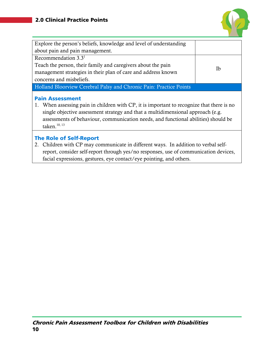

| Explore the person's beliefs, knowledge and level of understanding                                                                                                                                                                                                                                                    |    |
|-----------------------------------------------------------------------------------------------------------------------------------------------------------------------------------------------------------------------------------------------------------------------------------------------------------------------|----|
| about pain and pain management.                                                                                                                                                                                                                                                                                       |    |
| Recommendation $3.31$                                                                                                                                                                                                                                                                                                 |    |
| Teach the person, their family and caregivers about the pain                                                                                                                                                                                                                                                          | Ib |
| management strategies in their plan of care and address known                                                                                                                                                                                                                                                         |    |
| concerns and misbeliefs.                                                                                                                                                                                                                                                                                              |    |
| Holland Bloorview Cerebral Palsy and Chronic Pain: Practice Points                                                                                                                                                                                                                                                    |    |
| <b>Pain Assessment</b><br>When assessing pain in children with CP, it is important to recognize that there is no<br>1.<br>single objective assessment strategy and that a multidimensional approach (e.g.<br>assessments of behaviour, communication needs, and functional abilities) should be<br>taken. $^{10, 13}$ |    |
| <b>The Role of Self-Report</b><br>2. Children with CP may communicate in different ways. In addition to verbal self-<br>report, consider self-report through yes/no responses, use of communication devices,<br>facial expressions, gestures, eye contact/eye pointing, and others.                                   |    |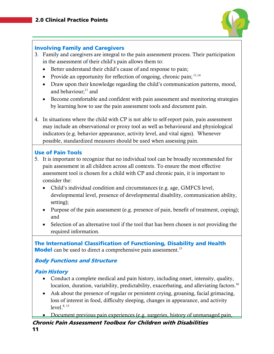

#### Involving Family and Caregivers

- 3. Family and caregivers are integral to the pain assessment process. Their participation in the assessment of their child's pain allows them to:
	- Better understand their child's cause of and response to pain;
	- Provide an opportunity for reflection of ongoing, chronic pain;  $11,14$  $11,14$
	- Draw upon their knowledge regarding the child's communication patterns, mood, and behaviour; $11$  and
	- Become comfortable and confident with pain assessment and monitoring strategies by learning how to use the pain assessment tools and document pain.
- 4. In situations where the child with CP is not able to self-report pain, pain assessment may include an observational or proxy tool as well as behavioural and physiological indicators (e.g. behavior appearance, activity level, and vital signs). Whenever possible, standardized measures should be used when assessing pain.

#### Use of Pain Tools

- 5. It is important to recognize that no individual tool can be broadly recommended for pain assessment in all children across all contexts. To ensure the most effective assessment tool is chosen for a child with CP and chronic pain, it is important to consider the:
	- Child's individual condition and circumstances (e.g. age, GMFCS level, developmental level, presence of developmental disability, communication ability, setting);
	- Purpose of the pain assessment (e.g. presence of pain, benefit of treatment, coping); and
	- Selection of an alternative tool if the tool that has been chosen is not providing the required information.

The International Classification of Functioning, Disability and Health **Model** can be used to direct a comprehensive pain assessment.<sup>15</sup>

## Body Functions and Structure

#### Pain History

- Conduct a complete medical and pain history, including onset, intensity, quality, location, duration, variability, predictability, exacerbating, and alleviating factors.<sup>16</sup>
- Ask about the presence of regular or persistent crying, groaning, facial grimacing, loss of interest in food, difficulty sleeping, changes in appearance, and activity level. [8,](#page-15-9) [13](#page-15-7)
- Document previous pain experiences (e.g. surgeries, history of unmanaged pain,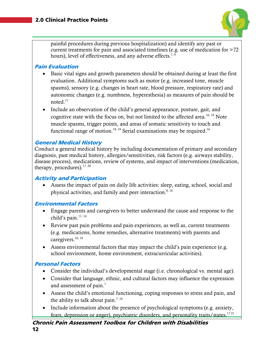

painful procedures during previous hospitalization) and identify any past or current treatments for pain and associated timelines (e.g. use of medication for >72 hours), level of effectiveness, and any adverse effects. $1, 8$  $1, 8$ 

#### Pain Evaluation

- Basic vital signs and growth parameters should be obtained during at least the first evaluation. Additional symptoms such as motor (e.g. increased tone, muscle spasms), sensory (e.g. changes in heart rate, blood pressure, respiratory rate) and autonomic changes (e.g. numbness, hyperesthesia) as measures of pain should be noted[.17](#page-16-2)
- Include an observation of the child's general appearance, posture, gait, and cognitive state with the focus on, but not limited to the affected area.<sup>16, [18](#page-16-3)</sup> Note muscle spasms, trigger points, and areas of somatic sensitivity to touch and functional range of motion.<sup>18, [19](#page-16-4)</sup> Serial examinations may be required.<sup>16</sup>

#### General Medical History

Conduct a general medical history by including documentation of primary and secondary diagnosis, past medical history, allergies/sensitivities, risk factors (e.g. airways stability, disease process), medications, review of systems, and impact of interventions (medication, therapy, procedures).<sup>17, [20](#page-16-5)</sup>

#### Activity and Participation

• Assess the impact of pain on daily life activities: sleep, eating, school, social and physical activities, and family and peer interaction.<sup>8, [16](#page-16-1)</sup>

## Environmental Factors

- Engage parents and caregivers to better understand the cause and response to the child's pain.<sup>11, [14](#page-15-8)</sup>
- Review past pain problems and pain experiences, as well as, current treatments (e.g. medications, home remedies, alternative treatments) with parents and caregivers.<sup>16, [18](#page-16-3)</sup>
- Assess environmental factors that may impact the child's pain experience (e.g. school environment, home environment, extracurricular activities).

#### Personal Factors

- Consider the individual's developmental stage (i.e. chronological vs. mental age).
- Consider that language, ethnic, and cultural factors may influence the expression and assessment of pain.<sup>7</sup>
- Assess the child's emotional functioning, coping responses to stress and pain, and the ability to talk about pain.<sup>7, [16](#page-16-1)</sup>
- Include information about the presence of psychological symptoms (e.g. anxiety, fears, depression or anger), psychiatric disorders, and personality traits/states.<sup>17[21](#page-16-6)</sup>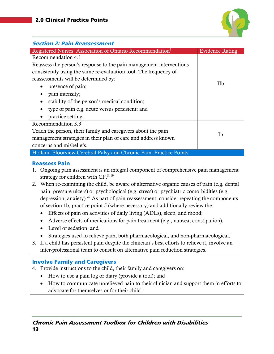

<span id="page-12-0"></span>

| <b>Section 2: Pain Reassessment</b>                                                                                                                                                                                                                                                                                                                                                                                                                                                                                                                                                                                                                                                                                                                                                                                                                                                                                                                                                                                                                   |                        |
|-------------------------------------------------------------------------------------------------------------------------------------------------------------------------------------------------------------------------------------------------------------------------------------------------------------------------------------------------------------------------------------------------------------------------------------------------------------------------------------------------------------------------------------------------------------------------------------------------------------------------------------------------------------------------------------------------------------------------------------------------------------------------------------------------------------------------------------------------------------------------------------------------------------------------------------------------------------------------------------------------------------------------------------------------------|------------------------|
| Registered Nurses' Association of Ontario Recommendation <sup>1</sup>                                                                                                                                                                                                                                                                                                                                                                                                                                                                                                                                                                                                                                                                                                                                                                                                                                                                                                                                                                                 | <b>Evidence Rating</b> |
| Recommendation $4.11$<br>Reassess the person's response to the pain management interventions<br>consistently using the same re-evaluation tool. The frequency of<br>reassessments will be determined by:<br>presence of pain;<br>$\bullet$<br>pain intensity;<br>stability of the person's medical condition;<br>type of pain e.g. acute versus persistent; and<br>practice setting.                                                                                                                                                                                                                                                                                                                                                                                                                                                                                                                                                                                                                                                                  | IIb                    |
| Recommendation $3.3^1$<br>Teach the person, their family and caregivers about the pain<br>management strategies in their plan of care and address known<br>concerns and misbeliefs.                                                                                                                                                                                                                                                                                                                                                                                                                                                                                                                                                                                                                                                                                                                                                                                                                                                                   | Ib                     |
| Holland Bloorview Cerebral Palsy and Chronic Pain: Practice Points                                                                                                                                                                                                                                                                                                                                                                                                                                                                                                                                                                                                                                                                                                                                                                                                                                                                                                                                                                                    |                        |
| <b>Reassess Pain</b><br>Ongoing pain assessment is an integral component of comprehensive pain management<br>1.<br>strategy for children with CP. <sup>8, 19</sup><br>2. When re-examining the child, be aware of alternative organic causes of pain (e.g. dental<br>pain, pressure ulcers) or psychological (e.g. stress) or psychiatric comorbidities (e.g.<br>depression, anxiety). $^{22}$ As part of pain reassessment, consider repeating the components<br>of section 1b, practice point 5 (where necessary) and additionally review the:<br>Effects of pain on activities of daily living (ADLs), sleep, and mood;<br>$\bullet$<br>Adverse effects of medications for pain treatment (e.g., nausea, constipation);<br>$\bullet$<br>Level of sedation; and<br>Strategies used to relieve pain, both pharmacological, and non-pharmacological. <sup>1</sup><br>3. If a child has persistent pain despite the clinician's best efforts to relieve it, involve an<br>inter-professional team to consult on alternative pain reduction strategies. |                        |
| <b>Involve Family and Caregivers</b><br>4. Provide instructions to the child, their family and caregivers on:<br>How to use a pain log or diary (provide a tool); and<br>٠<br>How to communicate unrelieved pain to their clinician and support them in efforts to<br>$\bullet$<br>advocate for themselves or for their child. <sup>1</sup>                                                                                                                                                                                                                                                                                                                                                                                                                                                                                                                                                                                                                                                                                                           |                        |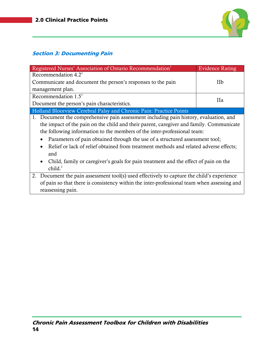

# <span id="page-13-0"></span>Section 3: Documenting Pain

| Registered Nurses' Association of Ontario Recommendation <sup>1</sup>                      | <b>Evidence Rating</b> |  |
|--------------------------------------------------------------------------------------------|------------------------|--|
| Recommendation $4.21$                                                                      |                        |  |
| Communicate and document the person's responses to the pain                                | IIb                    |  |
| management plan.                                                                           |                        |  |
| Recommendation $1.51$                                                                      |                        |  |
| Document the person's pain characteristics.                                                | Пa                     |  |
| Holland Bloorview Cerebral Palsy and Chronic Pain: Practice Points                         |                        |  |
| 1. Document the comprehensive pain assessment including pain history, evaluation, and      |                        |  |
| the impact of the pain on the child and their parent, caregiver and family. Communicate    |                        |  |
| the following information to the members of the inter-professional team:                   |                        |  |
| Parameters of pain obtained through the use of a structured assessment tool;               |                        |  |
| Relief or lack of relief obtained from treatment methods and related adverse effects;      |                        |  |
| and                                                                                        |                        |  |
| Child, family or caregiver's goals for pain treatment and the effect of pain on the        |                        |  |
| child. <sup>1</sup>                                                                        |                        |  |
| 2. Document the pain assessment tool(s) used effectively to capture the child's experience |                        |  |
| of pain so that there is consistency within the inter-professional team when assessing and |                        |  |
| reassessing pain.                                                                          |                        |  |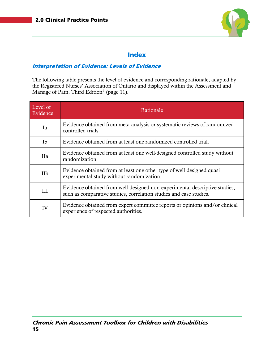

### Index

#### <span id="page-14-0"></span>Interpretation of Evidence: Levels of Evidence

The following table presents the level of evidence and corresponding rationale, adapted by the Registered Nurses' Association of Ontario and displayed within the Assessment and Manage of Pain, Third Edition<sup>1</sup> (page 11).

| Level of<br>Evidence | Rationale                                                                                                                                        |
|----------------------|--------------------------------------------------------------------------------------------------------------------------------------------------|
| Ia                   | Evidence obtained from meta-analysis or systematic reviews of randomized<br>controlled trials.                                                   |
| Ib                   | Evidence obtained from at least one randomized controlled trial.                                                                                 |
| IIa                  | Evidence obtained from at least one well-designed controlled study without<br>randomization.                                                     |
| <b>IIb</b>           | Evidence obtained from at least one other type of well-designed quasi-<br>experimental study without randomization.                              |
| III                  | Evidence obtained from well-designed non-experimental descriptive studies,<br>such as comparative studies, correlation studies and case studies. |
| IV                   | Evidence obtained from expert committee reports or opinions and/or clinical<br>experience of respected authorities.                              |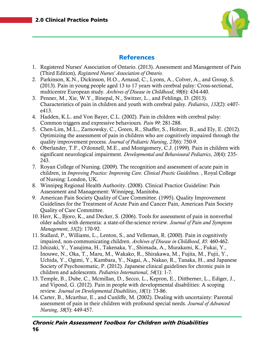

### **References**

- <span id="page-15-0"></span>1. Registered Nurses' Association of Ontario. (2013). Assessment and Management of Pain (Third Edition), *Registered Nurses' Association of Ontario.*
- <span id="page-15-1"></span>2. Parkinson, K.N., Dickinson, H.O., Arnaud, C., Lyons, A., Colver, A., and Group, S. (2013). Pain in young people aged 13 to 17 years with cerebral palsy: Cross-sectional, multicentre European study*. Archives of Disease in Childhood*, *98*(6): 434-440.
- <span id="page-15-2"></span>3. Penner, M., Xie, W.Y., Binepal, N., Switzer, L., and Fehlings, D. (2013). Characteristics of pain in children and youth with cerebral palsy*. Pediatrics*, *132*(2): e407 e413.
- 4. Hadden, K.L. and Von Bayer, C.L. (2002). Pain in children with cerebral palsy: Common triggers and expressive behaviours*. Pain 99*: 281-288.
- 5. Chen-Lim, M.L., Zarnowsky, C., Green, R., Shaffer, S., Holtzer, B., and Ely, E. (2012). Optimizing the assessment of pain in children who are cognitively impaired through the quality improvement process*. Journal of Pediatric Nursing*, *27*(6): 750-9.
- 6. Oberlander, T.F., O'donnell, M.E., and Montgomery, C.J. (1999). Pain in children with significant neurological impairment*. Developmental and Behavioural Pediatrics*, *20*(4): 235- 243.
- <span id="page-15-3"></span>7. Royan College of Nursing. (2009). The recognition and assessment of acute pain in children, in *Improving Practice: Improving Care. Clinical Practic Guidelines.* , Royal College of Nursing: London, UK.
- <span id="page-15-9"></span>8. Winnipeg Regional Health Authority. (2008). Clinical Practice Guideline: Pain Assessment and Management: Winnipeg, Manitoba.
- 9. American Pain Society Quality of Care Committee. (1995). Quality Improvement Guidelines for the Treatment of Acute Pain and Cancer Pain, American Pain Society Quality of Care Committee.
- <span id="page-15-4"></span>10. Herr, K., Bjoro, K., and Decker, S. (2006). Tools for assessment of pain in nonverbal older adults with dementia: a state-of-the-science review*. Journal of Pain and Symptom Management*, *31*(2): 170-92.
- <span id="page-15-5"></span>11. Stallard, P., Williams, L., Lenton, S., and Velleman, R. (2000). Pain in cognitively impaired, non-communicating children*. Archives of Disease in Childhood*, *85*: 460-462.
- <span id="page-15-6"></span>12. Ishizaki, Y., Yasujima, H., Takenaka, Y., Shimada, A., Murakami, K., Fukai, Y., Inouwe, N., Oka, T., Maru, M., Wakako, R., Shirakawa, M., Fujita, M., Fujii, Y., Uchida, Y., Ogimi, Y., Kambara, Y., Nagai, A., Nakao, R., Tanaka, H., and Japanese Society of Psychosomatic, P. (2012). Japanese clinical guidelines for chronic pain in children and adolescents*. Pediatrics International*, *54*(1): 1-7.
- <span id="page-15-7"></span>13. Temple, B., Dube, C., Mcmillan, D., Secco, L., Kepron, E., Dittberner, L., Ediger, J., and Vipond, G. (2012). Pain in people with developmental disabilities: A scoping review*. Journal on Developmental Disabilities*, *18*(1): 73-86.
- <span id="page-15-8"></span>14. Carter, B., Mcarthur, E., and Cunliffe, M. (2002). Dealing with uncertainty: Parental assessment of pain in their children with profound special needs*. Journal of Advanced Nursing*, *38*(5): 449-457.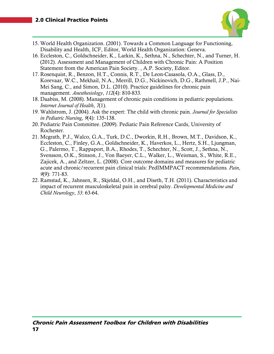

- <span id="page-16-0"></span>15. World Health Organization. (2001). Towards a Common Language for Functioning, Disability and Health, ICF, Editor, World Health Organization: Geneva.
- <span id="page-16-1"></span>16. Eccleston, C., Goldschneider, K., Larkin, K., Sethna, N., Schechter, N., and Turner, H. (2012). Assessment and Management of Children with Chronic Pain: A Position Statement from the American Pain Society. , A.P. Society, Editor.
- <span id="page-16-2"></span>17. Rosenquist, R., Benzon, H.T., Connis, R.T., De Leon-Casasola, O.A., Glass, D., Korevaar, W.C., Mekhail, N.A., Merrill, D.G., Nickinovich, D.G., Rathmell, J.P., Nai-Mei Sang, C., and Simon, D.L. (2010). Practice guidelines for chronic pain management*. Anesthesiology*, *112*(4): 810-833.
- <span id="page-16-3"></span>18. Daabiss, M. (2008). Management of chronic pain conditions in pediatric populations*. Internet Journal of Health*, *7*(1).
- <span id="page-16-4"></span>19. Wahlstrom, J. (2004). Ask the expert: The child with chronic pain*. Journal for Specialists in Pediatric Nursing*, *9*(4): 135-138.
- <span id="page-16-5"></span>20. Pediatric Pain Committee. (2009). Pediatic Pain Reference Cards, University of Rochester.
- <span id="page-16-6"></span>21. Mcgrath, P.J., Walco, G.A., Turk, D.C., Dworkin, R.H., Brown, M.T., Davidson, K., Eccleston, C., Finley, G.A., Goldschneider, K., Haverkos, L., Hertz, S.H., Ljungman, G., Palermo, T., Rappaport, B.A., Rhodes, T., Schechter, N., Scott, J., Sethna, N., Svensson, O.K., Stinson, J., Von Baeyer, C.L., Walker, L., Weisman, S., White, R.E., Zajicek, A., and Zeltzer, L. (2008). Core outcome domains and measures for pediatric acute and chronic/recurrent pain clinical trials: PedIMMPACT recommendations*. Pain*, *9*(9): 771-83.
- <span id="page-16-7"></span>22. Ramstad, K., Jahnsen, R., Skjeldal, O.H., and Diseth, T.H. (2011). Characteristics and impact of recurrent musculoskeletal pain in cerebral palsy*. Developmental Medicine and Child Neurology*, *53*: 63-64.